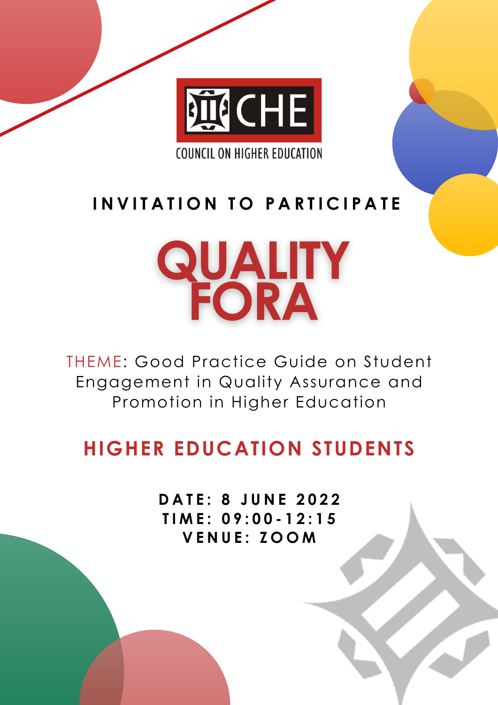

**COUNCIL ON HIGHER EDUCATION** 

**D A T E : 8 J U N E 2 0 2 2 T I M E : 0 9 : 0 0 - 1 2 : 1 5 V E N U E : Z O O M**

THEME: Good Practice Guide on Student Engagement in Quality Assurance and Promotion in Higher Education

## **HIGHER EDUCATION STUDENTS**

### **I N V I T A T I O N T O P A R T I C I P A T E**

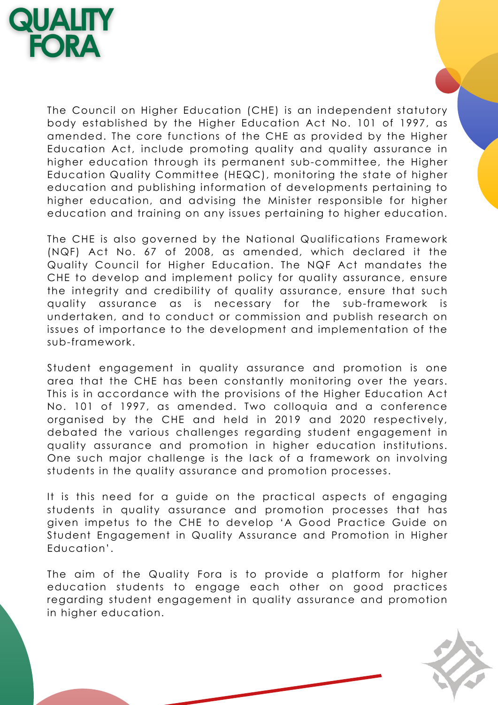# **QUALITY**<br>FORA

The Council on Higher Education (CHE) is an independent statutory body established by the Higher Education Act No. 101 of 1997, as amended. The core functions of the CHE as provided by the Higher Education Act, include promoting quality and quality assurance in higher education through its permanent sub-committee, the Higher Education Quality Committee (HEQC), monitoring the state of higher education and publishing information of developments pertaining to higher education, and advising the Minister responsible for higher education and training on any issues pertaining to higher education.

The CHE is also governed by the National Qualifications Framework (NQF) Act No. 67 of 2008, as amended, which declared it the Quality Council for Higher Education. The NQF Act mandates the CHE to develop and implement policy for quality assurance, ensure the integrity and credibility of quality assurance, ensure that such quality assurance as is necessary for the sub-framework is undertaken, and to conduct or commission and publish research on issues of importance to the development and implementation of the sub-framework.

Student engagement in quality assurance and promotion is one

area that the CHE has been constantly monitoring over the years. This is in accordance with the provisions of the Higher Education Act No. 101 of 1997, as amended. Two colloquia and a conference organised by the CHE and held in 2019 and 2020 respectively, debated the various challenges regarding student engagement in quality assurance and promotion in higher education institutions. One such major challenge is the lack of a framework on involving students in the quality assurance and promotion processes.

The aim of the Quality Fora is to provide a platform for higher education students to engage each other on good practices regarding student engagement in quality assurance and promotion in higher education.

It is this need for a guide on the practical aspects of engaging students in quality assurance and promotion processes that has given impetus to the CHE to develop 'A Good Practice Guide on Student Engagement in Quality Assurance and Promotion in Higher Education'.